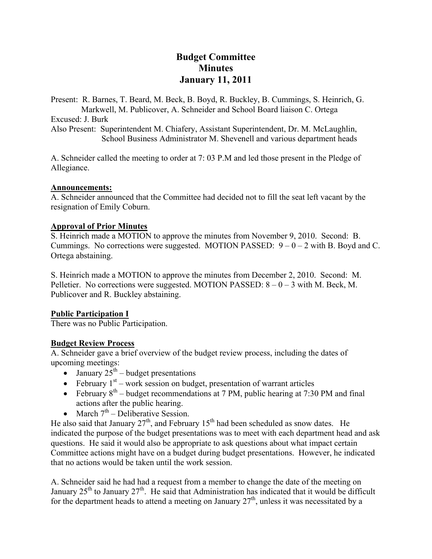# **Budget Committee Minutes January 11, 2011**

Present: R. Barnes, T. Beard, M. Beck, B. Boyd, R. Buckley, B. Cummings, S. Heinrich, G. Markwell, M. Publicover, A. Schneider and School Board liaison C. Ortega Excused: J. Burk Also Present: Superintendent M. Chiafery, Assistant Superintendent, Dr. M. McLaughlin, School Business Administrator M. Shevenell and various department heads

A. Schneider called the meeting to order at 7: 03 P.M and led those present in the Pledge of Allegiance.

#### **Announcements:**

A. Schneider announced that the Committee had decided not to fill the seat left vacant by the resignation of Emily Coburn.

## **Approval of Prior Minutes**

S. Heinrich made a MOTION to approve the minutes from November 9, 2010. Second: B. Cummings. No corrections were suggested. MOTION PASSED:  $9 - 0 - 2$  with B. Boyd and C. Ortega abstaining.

S. Heinrich made a MOTION to approve the minutes from December 2, 2010. Second: M. Pelletier. No corrections were suggested. MOTION PASSED:  $8 - 0 - 3$  with M. Beck, M. Publicover and R. Buckley abstaining.

#### **Public Participation I**

There was no Public Participation.

#### **Budget Review Process**

A. Schneider gave a brief overview of the budget review process, including the dates of upcoming meetings:

- January  $25^{\text{th}}$  budget presentations
- February  $1<sup>st</sup>$  work session on budget, presentation of warrant articles
- February  $8<sup>th</sup>$  budget recommendations at 7 PM, public hearing at 7:30 PM and final actions after the public hearing.
- March  $7<sup>th</sup>$  Deliberative Session.

He also said that January  $27<sup>th</sup>$ , and February  $15<sup>th</sup>$  had been scheduled as snow dates. He indicated the purpose of the budget presentations was to meet with each department head and ask questions. He said it would also be appropriate to ask questions about what impact certain Committee actions might have on a budget during budget presentations. However, he indicated that no actions would be taken until the work session.

A. Schneider said he had had a request from a member to change the date of the meeting on January  $25<sup>th</sup>$  to January  $27<sup>th</sup>$ . He said that Administration has indicated that it would be difficult for the department heads to attend a meeting on January  $27<sup>th</sup>$ , unless it was necessitated by a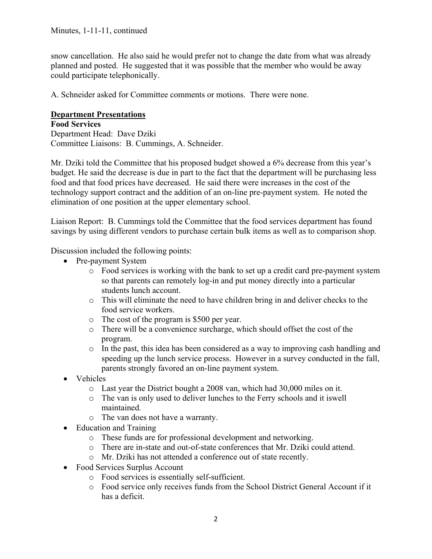snow cancellation. He also said he would prefer not to change the date from what was already planned and posted. He suggested that it was possible that the member who would be away could participate telephonically.

A. Schneider asked for Committee comments or motions. There were none.

### **Department Presentations**

**Food Services**  Department Head: Dave Dziki Committee Liaisons: B. Cummings, A. Schneider.

Mr. Dziki told the Committee that his proposed budget showed a 6% decrease from this year's budget. He said the decrease is due in part to the fact that the department will be purchasing less food and that food prices have decreased. He said there were increases in the cost of the technology support contract and the addition of an on-line pre-payment system. He noted the elimination of one position at the upper elementary school.

Liaison Report: B. Cummings told the Committee that the food services department has found savings by using different vendors to purchase certain bulk items as well as to comparison shop.

Discussion included the following points:

- Pre-payment System
	- o Food services is working with the bank to set up a credit card pre-payment system so that parents can remotely log-in and put money directly into a particular students lunch account.
	- o This will eliminate the need to have children bring in and deliver checks to the food service workers.
	- o The cost of the program is \$500 per year.
	- o There will be a convenience surcharge, which should offset the cost of the program.
	- o In the past, this idea has been considered as a way to improving cash handling and speeding up the lunch service process. However in a survey conducted in the fall, parents strongly favored an on-line payment system.
- Vehicles
	- o Last year the District bought a 2008 van, which had 30,000 miles on it.
	- o The van is only used to deliver lunches to the Ferry schools and it iswell maintained.
	- o The van does not have a warranty.
- Education and Training
	- o These funds are for professional development and networking.
	- o There are in-state and out-of-state conferences that Mr. Dziki could attend.
	- o Mr. Dziki has not attended a conference out of state recently.
- Food Services Surplus Account
	- o Food services is essentially self-sufficient.
	- o Food service only receives funds from the School District General Account if it has a deficit.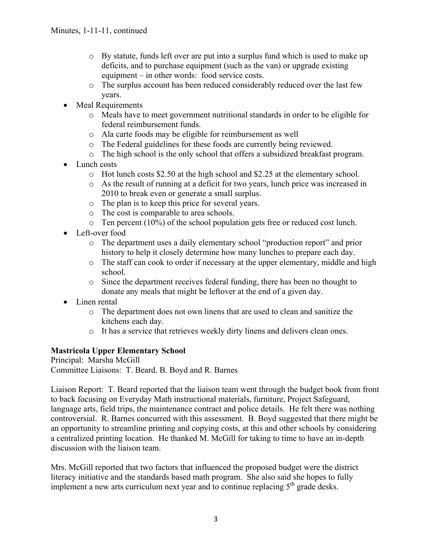- $\circ$  By statute, funds left over are put into a surplus fund which is used to make up deficits, and to purchase equipment (such as the van) or upgrade existing equipment – in other words: food service costs.
- o The surplus account has been reduced considerably reduced over the last few years.
- Meal Requirements
	- o Meals have to meet government nutritional standards in order to be eligible for federal reimbursement funds.
	- o Ala carte foods may be eligible for reimbursement as well
	- o The Federal guidelines for these foods are currently being reviewed.
	- o The high school is the only school that offers a subsidized breakfast program.
- Lunch costs
	- $\circ$  Hot lunch costs \$2.50 at the high school and \$2.25 at the elementary school.
	- o As the result of running at a deficit for two years, lunch price was increased in 2010 to break even or generate a small surplus.
	- o The plan is to keep this price for several years.
	- o The cost is comparable to area schools.
	- $\circ$  Ten percent (10%) of the school population gets free or reduced cost lunch.
- Left-over food
	- o The department uses a daily elementary school "production report" and prior history to help it closely determine how many lunches to prepare each day.
	- o The staff can cook to order if necessary at the upper elementary, middle and high school.
	- o Since the department receives federal funding, there has been no thought to donate any meals that might be leftover at the end of a given day.
- Linen rental
	- o The department does not own linens that are used to clean and sanitize the kitchens each day.
	- o It has a service that retrieves weekly dirty linens and delivers clean ones.

## **Mastricola Upper Elementary School**

Principal: Marsha McGill Committee Liaisons: T. Beard. B. Boyd and R. Barnes

Liaison Report: T. Beard reported that the liaison team went through the budget book from front to back focusing on Everyday Math instructional materials, furniture, Project Safeguard, language arts, field trips, the maintenance contract and police details. He felt there was nothing controversial. R. Barnes concurred with this assessment. B. Boyd suggested that there might be an opportunity to streamline printing and copying costs, at this and other schools by considering a centralized printing location. He thanked M. McGill for taking to time to have an in-depth discussion with the liaison team.

Mrs. McGill reported that two factors that influenced the proposed budget were the district literacy initiative and the standards based math program. She also said she hopes to fully implement a new arts curriculum next year and to continue replacing  $5<sup>th</sup>$  grade desks.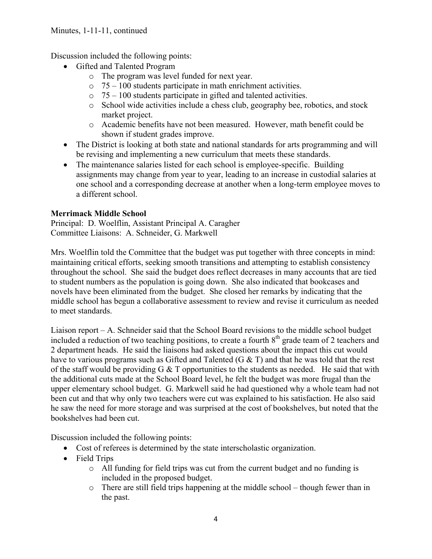Discussion included the following points:

- Gifted and Talented Program
	- o The program was level funded for next year.
	- $\circ$  75 100 students participate in math enrichment activities.
	- $\circ$  75 100 students participate in gifted and talented activities.
	- o School wide activities include a chess club, geography bee, robotics, and stock market project.
	- o Academic benefits have not been measured. However, math benefit could be shown if student grades improve.
- The District is looking at both state and national standards for arts programming and will be revising and implementing a new curriculum that meets these standards.
- The maintenance salaries listed for each school is employee-specific. Building assignments may change from year to year, leading to an increase in custodial salaries at one school and a corresponding decrease at another when a long-term employee moves to a different school.

## **Merrimack Middle School**

Principal: D. Woelflin, Assistant Principal A. Caragher Committee Liaisons: A. Schneider, G. Markwell

Mrs. Woelflin told the Committee that the budget was put together with three concepts in mind: maintaining critical efforts, seeking smooth transitions and attempting to establish consistency throughout the school. She said the budget does reflect decreases in many accounts that are tied to student numbers as the population is going down. She also indicated that bookcases and novels have been eliminated from the budget. She closed her remarks by indicating that the middle school has begun a collaborative assessment to review and revise it curriculum as needed to meet standards.

Liaison report – A. Schneider said that the School Board revisions to the middle school budget included a reduction of two teaching positions, to create a fourth  $8<sup>th</sup>$  grade team of 2 teachers and 2 department heads. He said the liaisons had asked questions about the impact this cut would have to various programs such as Gifted and Talented  $(G & T)$  and that he was told that the rest of the staff would be providing  $G \& T$  opportunities to the students as needed. He said that with the additional cuts made at the School Board level, he felt the budget was more frugal than the upper elementary school budget. G. Markwell said he had questioned why a whole team had not been cut and that why only two teachers were cut was explained to his satisfaction. He also said he saw the need for more storage and was surprised at the cost of bookshelves, but noted that the bookshelves had been cut.

Discussion included the following points:

- Cost of referees is determined by the state interscholastic organization.
- Field Trips
	- o All funding for field trips was cut from the current budget and no funding is included in the proposed budget.
	- o There are still field trips happening at the middle school though fewer than in the past.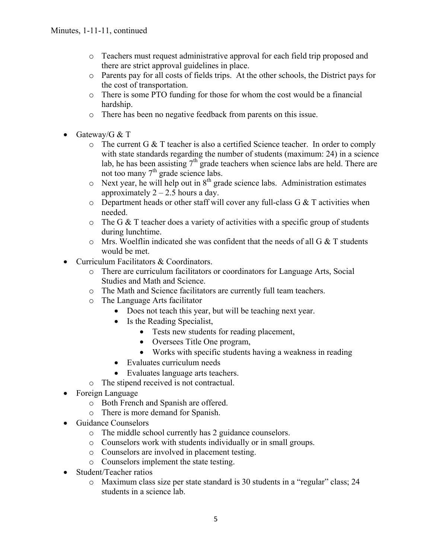- o Teachers must request administrative approval for each field trip proposed and there are strict approval guidelines in place.
- o Parents pay for all costs of fields trips. At the other schools, the District pays for the cost of transportation.
- o There is some PTO funding for those for whom the cost would be a financial hardship.
- o There has been no negative feedback from parents on this issue.
- Gateway/G  $&$  T
	- o The current G & T teacher is also a certified Science teacher. In order to comply with state standards regarding the number of students (maximum: 24) in a science lab, he has been assisting  $7<sup>th</sup>$  grade teachers when science labs are held. There are not too many  $7<sup>th</sup>$  grade science labs.
	- $\circ$  Next year, he will help out in  $8<sup>th</sup>$  grade science labs. Administration estimates approximately  $2 - 2.5$  hours a day.
	- $\circ$  Department heads or other staff will cover any full-class G & T activities when needed.
	- $\circ$  The G & T teacher does a variety of activities with a specific group of students during lunchtime.
	- $\circ$  Mrs. Woelflin indicated she was confident that the needs of all G & T students would be met.
- Curriculum Facilitators & Coordinators.
	- o There are curriculum facilitators or coordinators for Language Arts, Social Studies and Math and Science.
	- o The Math and Science facilitators are currently full team teachers.
	- o The Language Arts facilitator
		- Does not teach this year, but will be teaching next year.
		- Is the Reading Specialist,
			- Tests new students for reading placement,
			- Oversees Title One program,
			- Works with specific students having a weakness in reading
		- Evaluates curriculum needs
		- Evaluates language arts teachers.
	- o The stipend received is not contractual.
- Foreign Language
	- o Both French and Spanish are offered.
	- o There is more demand for Spanish.
- Guidance Counselors
	- o The middle school currently has 2 guidance counselors.
	- o Counselors work with students individually or in small groups.
	- o Counselors are involved in placement testing.
	- o Counselors implement the state testing.
- Student/Teacher ratios
	- o Maximum class size per state standard is 30 students in a "regular" class; 24 students in a science lab.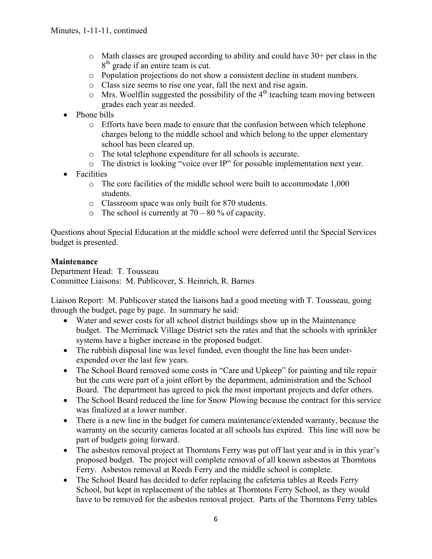- $\circ$  Math classes are grouped according to ability and could have 30+ per class in the 8<sup>th</sup> grade if an entire team is cut.
- o Population projections do not show a consistent decline in student numbers.
- o Class size seems to rise one year, fall the next and rise again.
- $\circ$  Mrs. Woelflin suggested the possibility of the 4<sup>th</sup> teaching team moving between grades each year as needed.
- Phone bills
	- o Efforts have been made to ensure that the confusion between which telephone charges belong to the middle school and which belong to the upper elementary school has been cleared up.
	- o The total telephone expenditure for all schools is accurate.
	- o The district is looking "voice over IP" for possible implementation next year.
- Facilities
	- o The core facilities of the middle school were built to accommodate 1,000 students.
	- o Classroom space was only built for 870 students.
	- $\circ$  The school is currently at 70 80 % of capacity.

Questions about Special Education at the middle school were deferred until the Special Services budget is presented.

### **Maintenance**

Department Head: T. Tousseau Committee Liaisons: M. Publicover, S. Heinrich, R. Barnes

Liaison Report: M. Publicover stated the liaisons had a good meeting with T. Tousseau, going through the budget, page by page. In summary he said:

- Water and sewer costs for all school district buildings show up in the Maintenance budget. The Merrimack Village District sets the rates and that the schools with sprinkler systems have a higher increase in the proposed budget.
- The rubbish disposal line was level funded, even thought the line has been underexpended over the last few years.
- The School Board removed some costs in "Care and Upkeep" for painting and tile repair but the cuts were part of a joint effort by the department, administration and the School Board. The department has agreed to pick the most important projects and defer others.
- The School Board reduced the line for Snow Plowing because the contract for this service was finalized at a lower number.
- There is a new line in the budget for camera maintenance/extended warranty, because the warranty on the security cameras located at all schools has expired. This line will now be part of budgets going forward.
- The asbestos removal project at Thorntons Ferry was put off last year and is in this year's proposed budget. The project will complete removal of all known asbestos at Thorntons Ferry. Asbestos removal at Reeds Ferry and the middle school is complete.
- The School Board has decided to defer replacing the cafeteria tables at Reeds Ferry School, but kept in replacement of the tables at Thorntons Ferry School, as they would have to be removed for the asbestos removal project. Parts of the Thorntons Ferry tables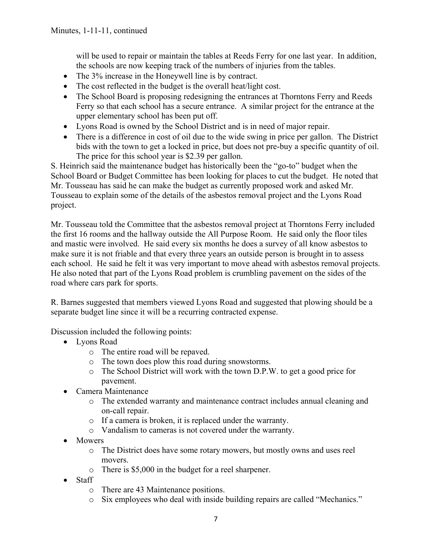will be used to repair or maintain the tables at Reeds Ferry for one last year. In addition, the schools are now keeping track of the numbers of injuries from the tables.

- The 3% increase in the Honeywell line is by contract.
- The cost reflected in the budget is the overall heat/light cost.
- The School Board is proposing redesigning the entrances at Thorntons Ferry and Reeds Ferry so that each school has a secure entrance. A similar project for the entrance at the upper elementary school has been put off.
- Lyons Road is owned by the School District and is in need of major repair.
- There is a difference in cost of oil due to the wide swing in price per gallon. The District bids with the town to get a locked in price, but does not pre-buy a specific quantity of oil. The price for this school year is \$2.39 per gallon.

S. Heinrich said the maintenance budget has historically been the "go-to" budget when the School Board or Budget Committee has been looking for places to cut the budget. He noted that Mr. Tousseau has said he can make the budget as currently proposed work and asked Mr. Tousseau to explain some of the details of the asbestos removal project and the Lyons Road project.

Mr. Tousseau told the Committee that the asbestos removal project at Thorntons Ferry included the first 16 rooms and the hallway outside the All Purpose Room. He said only the floor tiles and mastic were involved. He said every six months he does a survey of all know asbestos to make sure it is not friable and that every three years an outside person is brought in to assess each school. He said he felt it was very important to move ahead with asbestos removal projects. He also noted that part of the Lyons Road problem is crumbling pavement on the sides of the road where cars park for sports.

R. Barnes suggested that members viewed Lyons Road and suggested that plowing should be a separate budget line since it will be a recurring contracted expense.

Discussion included the following points:

- Lyons Road
	- o The entire road will be repaved.
	- o The town does plow this road during snowstorms.
	- o The School District will work with the town D.P.W. to get a good price for pavement.
- Camera Maintenance
	- o The extended warranty and maintenance contract includes annual cleaning and on-call repair.
	- o If a camera is broken, it is replaced under the warranty.
	- o Vandalism to cameras is not covered under the warranty.
- Mowers
	- o The District does have some rotary mowers, but mostly owns and uses reel movers.
	- o There is \$5,000 in the budget for a reel sharpener.
- Staff
	- o There are 43 Maintenance positions.
	- o Six employees who deal with inside building repairs are called "Mechanics."